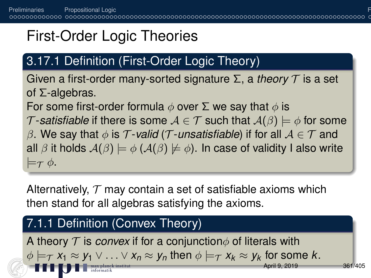# First-Order Logic Theories

### 3.17.1 Definition (First-Order Logic Theory)

Given a first-order many-sorted signature Σ, a *theory* T is a set of Σ-algebras.

For some first-order formula  $\phi$  over  $\Sigma$  we say that  $\phi$  is

T-satisfiable if there is some  $A \in \mathcal{T}$  such that  $A(\beta) \models \phi$  for some

β. We say that φ is T-valid (T-unsatisfiable) if for all  $A \in T$  and all  $\beta$  it holds  $A(\beta) \models \phi$  ( $A(\beta) \not\models \phi$ ). In case of validity I also write  $\models_{\mathcal{T}} \phi.$ 

Alternatively,  $\tau$  may contain a set of satisfiable axioms which then stand for all algebras satisfying the axioms.

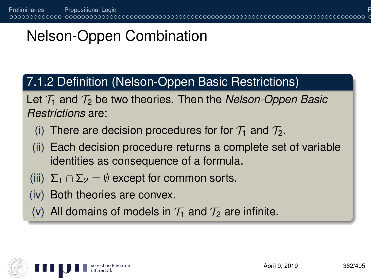# Nelson-Oppen Combination

#### 7.1.2 Definition (Nelson-Oppen Basic Restrictions)

Let  $\mathcal{T}_1$  and  $\mathcal{T}_2$  be two theories. Then the *Nelson-Oppen Basic Restrictions* are:

- (i) There are decision procedures for for  $\mathcal{T}_1$  and  $\mathcal{T}_2$ .
- (ii) Each decision procedure returns a complete set of variable identities as consequence of a formula.
- (iii)  $\Sigma_1 \cap \Sigma_2 = \emptyset$  except for common sorts.
- (iv) Both theories are convex.
- (v) All domains of models in  $\mathcal{T}_1$  and  $\mathcal{T}_2$  are infinite.

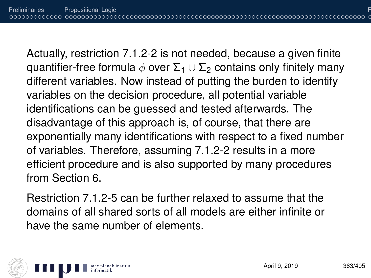Actually, restriction 7.1.2-2 is not needed, because a given finite quantifier-free formula  $\phi$  over  $\Sigma_1 \cup \Sigma_2$  contains only finitely many different variables. Now instead of putting the burden to identify variables on the decision procedure, all potential variable identifications can be guessed and tested afterwards. The disadvantage of this approach is, of course, that there are exponentially many identifications with respect to a fixed number of variables. Therefore, assuming 7.1.2-2 results in a more efficient procedure and is also supported by many procedures from Section 6.

Restriction 7.1.2-5 can be further relaxed to assume that the domains of all shared sorts of all models are either infinite or have the same number of elements.

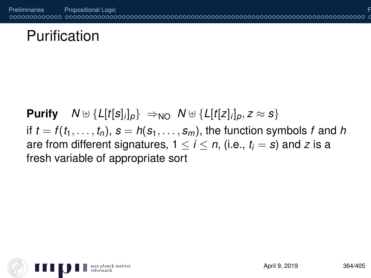## Purification

**Purify**  $N \oplus \{L[t[s]_i]_p\} \Rightarrow_{NO} N \oplus \{L[t[z]_i]_p, z \approx s\}$ if  $t = f(t_1, \ldots, t_n)$ ,  $s = h(s_1, \ldots, s_m)$ , the function symbols f and h are from different signatures,  $1 \le i \le n$ , (i.e.,  $t_i = s$ ) and z is a fresh variable of appropriate sort

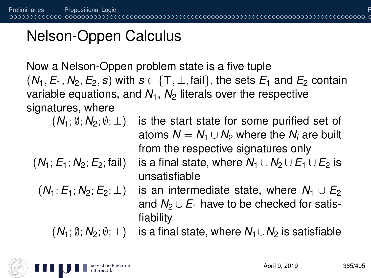## Nelson-Oppen Calculus

Now a Nelson-Oppen problem state is a five tuple  $(N_1, E_1, N_2, E_2, s)$  with  $s \in \{\top, \bot, \text{fail}\}$ , the sets  $E_1$  and  $E_2$  contain variable equations, and  $N_1$ ,  $N_2$  literals over the respective signatures, where

 $(N_1; \emptyset; N_2; \emptyset; \perp)$  is the start state for some purified set of

$$
(N_1; E_1; N_2; E_2; \text{fail})
$$

$$
(N_1;E_1;N_2;E_2;\perp)
$$

- atoms  $N = N_1 \cup N_2$  where the  $N_i$  are built from the respective signatures only is a final state, where  $N_1 \cup N_2 \cup E_1 \cup E_2$  is unsatisfiable  $\overline{h}$  is an intermediate state, where  $N_1 \cup E_2$ 
	- and  $N_2 \cup E_1$  have to be checked for satisfiability

 $(N_1; \emptyset; N_2; \emptyset; \top)$  is a final state, where  $N_1 \cup N_2$  is satisfiable